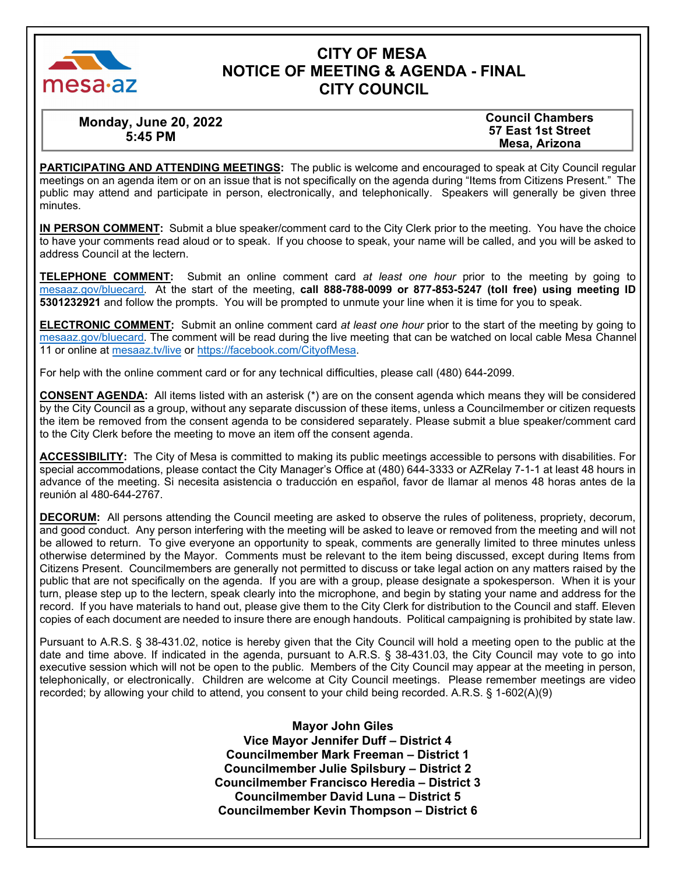

# **CITY OF MESA NOTICE OF MEETING & AGENDA - FINAL CITY COUNCIL**

**Monday, June 20, 2022 5:45 PM** 

**Council Chambers 57 East 1st Street Mesa, Arizona** 

**PARTICIPATING AND ATTENDING MEETINGS:** The public is welcome and encouraged to speak at City Council regular meetings on an agenda item or on an issue that is not specifically on the agenda during "Items from Citizens Present." The public may attend and participate in person, electronically, and telephonically. Speakers will generally be given three minutes.

**IN PERSON COMMENT:** Submit a blue speaker/comment card to the City Clerk prior to the meeting. You have the choice to have your comments read aloud or to speak. If you choose to speak, your name will be called, and you will be asked to address Council at the lectern.

**TELEPHONE COMMENT:** Submit an online comment card *at least one hour* prior to the meeting by going to m[esaaz.gov/bluecard.](https://www.mesaaz.gov/government/city-council-meetings/online-meeting-comment-card) At the start of the meeting, **call 888-788-0099 or 877-853-5247 (toll free) using meeting ID 5301232921** and follow the prompts. You will be prompted to unmute your line when it is time for you to speak.

**ELECTRONIC COMMENT:** Submit an online comment card *at least one hour* prior to the start of the meeting by going to m[esaaz.gov/bluecard.](https://www.mesaaz.gov/government/city-council-meetings/online-meeting-comment-card) The comment will be read during the live meeting that can be watched on local cable Mesa Channel 11 or online at mesa[az.tv](http://www.mesa11.com/live)/live or [https://facebook.com/CityofMesa.](https://www.facebook.com/CityofMesa)

For help with the online comment card or for any technical difficulties, please call (480) 644-2099.

**CONSENT AGENDA:** All items listed with an asterisk (\*) are on the consent agenda which means they will be considered by the City Council as a group, without any separate discussion of these items, unless a Councilmember or citizen requests the item be removed from the consent agenda to be considered separately. Please submit a blue speaker/comment card to the City Clerk before the meeting to move an item off the consent agenda.

**ACCESSIBILITY:** The City of Mesa is committed to making its public meetings accessible to persons with disabilities. For special accommodations, please contact the City Manager's Office at (480) 644-3333 or AZRelay 7-1-1 at least 48 hours in advance of the meeting. Si necesita asistencia o traducción en español, favor de llamar al menos 48 horas antes de la reunión al 480-644-2767.

**DECORUM:** All persons attending the Council meeting are asked to observe the rules of politeness, propriety, decorum, and good conduct. Any person interfering with the meeting will be asked to leave or removed from the meeting and will not be allowed to return. To give everyone an opportunity to speak, comments are generally limited to three minutes unless otherwise determined by the Mayor. Comments must be relevant to the item being discussed, except during Items from Citizens Present. Councilmembers are generally not permitted to discuss or take legal action on any matters raised by the public that are not specifically on the agenda. If you are with a group, please designate a spokesperson. When it is your turn, please step up to the lectern, speak clearly into the microphone, and begin by stating your name and address for the record. If you have materials to hand out, please give them to the City Clerk for distribution to the Council and staff. Eleven copies of each document are needed to insure there are enough handouts. Political campaigning is prohibited by state law.

Pursuant to A.R.S. § 38-431.02, notice is hereby given that the City Council will hold a meeting open to the public at the date and time above. If indicated in the agenda, pursuant to A.R.S. § 38-431.03, the City Council may vote to go into executive session which will not be open to the public. Members of the City Council may appear at the meeting in person, telephonically, or electronically. Children are welcome at City Council meetings. Please remember meetings are video recorded; by allowing your child to attend, you consent to your child being recorded. A.R.S. § 1-602(A)(9)

> **Mayor John Giles Vice Mayor Jennifer Duff – District 4 Councilmember Mark Freeman – District 1 Councilmember Julie Spilsbury – District 2 Councilmember Francisco Heredia – District 3 Councilmember David Luna – District 5 Councilmember Kevin Thompson – District 6**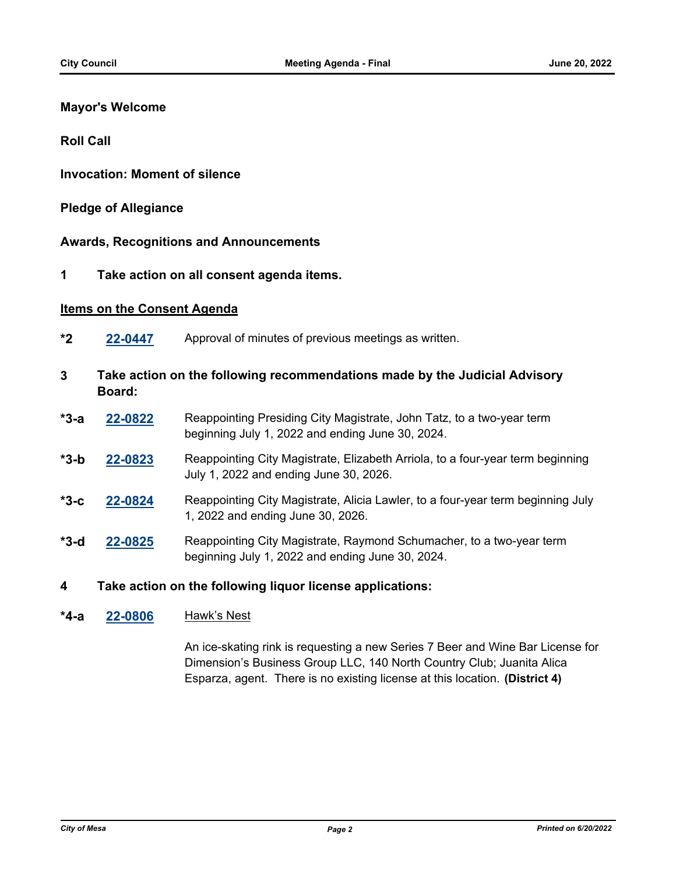## **Mayor's Welcome**

**Roll Call**

**Invocation: Moment of silence**

### **Pledge of Allegiance**

### **Awards, Recognitions and Announcements**

**1 Take action on all consent agenda items.**

### **Items on the Consent Agenda**

- **\*2 [22-0447](http://mesa.legistar.com/gateway.aspx?m=l&id=/matter.aspx?key=18347)** Approval of minutes of previous meetings as written.
- **3 Take action on the following recommendations made by the Judicial Advisory Board:**
- **[22-0822](http://mesa.legistar.com/gateway.aspx?m=l&id=/matter.aspx?key=18713)** Reappointing Presiding City Magistrate, John Tatz, to a two-year term beginning July 1, 2022 and ending June 30, 2024. **\*3-a**
- **[22-0823](http://mesa.legistar.com/gateway.aspx?m=l&id=/matter.aspx?key=18714)** Reappointing City Magistrate, Elizabeth Arriola, to a four-year term beginning July 1, 2022 and ending June 30, 2026. **\*3-b**
- **[22-0824](http://mesa.legistar.com/gateway.aspx?m=l&id=/matter.aspx?key=18715)** Reappointing City Magistrate, Alicia Lawler, to a four-year term beginning July 1, 2022 and ending June 30, 2026. **\*3-c**
- **[22-0825](http://mesa.legistar.com/gateway.aspx?m=l&id=/matter.aspx?key=18716)** Reappointing City Magistrate, Raymond Schumacher, to a two-year term beginning July 1, 2022 and ending June 30, 2024. **\*3-d**
- **4 Take action on the following liquor license applications:**

#### **[22-0806](http://mesa.legistar.com/gateway.aspx?m=l&id=/matter.aspx?key=18697)** Hawk's Nest **\*4-a**

An ice-skating rink is requesting a new Series 7 Beer and Wine Bar License for Dimension's Business Group LLC, 140 North Country Club; Juanita Alica Esparza, agent. There is no existing license at this location. **(District 4)**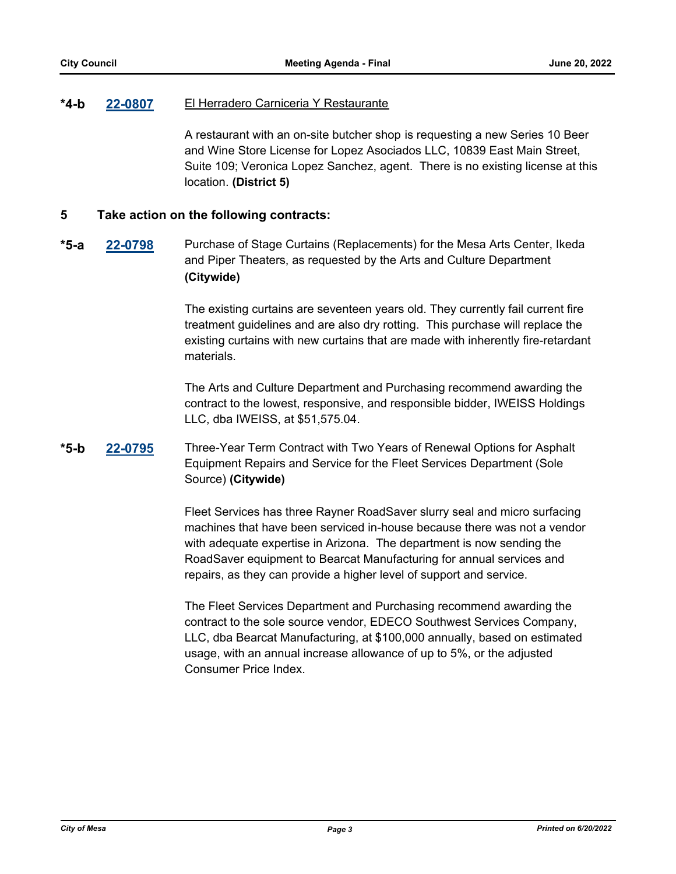#### **[22-0807](http://mesa.legistar.com/gateway.aspx?m=l&id=/matter.aspx?key=18698)** El Herradero Carniceria Y Restaurante **\*4-b**

A restaurant with an on-site butcher shop is requesting a new Series 10 Beer and Wine Store License for Lopez Asociados LLC, 10839 East Main Street, Suite 109; Veronica Lopez Sanchez, agent. There is no existing license at this location. **(District 5)**

### **5 Take action on the following contracts:**

**[22-0798](http://mesa.legistar.com/gateway.aspx?m=l&id=/matter.aspx?key=18689)** Purchase of Stage Curtains (Replacements) for the Mesa Arts Center, Ikeda and Piper Theaters, as requested by the Arts and Culture Department **(Citywide) \*5-a**

> The existing curtains are seventeen years old. They currently fail current fire treatment guidelines and are also dry rotting. This purchase will replace the existing curtains with new curtains that are made with inherently fire-retardant materials.

The Arts and Culture Department and Purchasing recommend awarding the contract to the lowest, responsive, and responsible bidder, IWEISS Holdings LLC, dba IWEISS, at \$51,575.04.

#### **[22-0795](http://mesa.legistar.com/gateway.aspx?m=l&id=/matter.aspx?key=18686)** Three-Year Term Contract with Two Years of Renewal Options for Asphalt Equipment Repairs and Service for the Fleet Services Department (Sole Source) **(Citywide) \*5-b**

Fleet Services has three Rayner RoadSaver slurry seal and micro surfacing machines that have been serviced in-house because there was not a vendor with adequate expertise in Arizona. The department is now sending the RoadSaver equipment to Bearcat Manufacturing for annual services and repairs, as they can provide a higher level of support and service.

The Fleet Services Department and Purchasing recommend awarding the contract to the sole source vendor, EDECO Southwest Services Company, LLC, dba Bearcat Manufacturing, at \$100,000 annually, based on estimated usage, with an annual increase allowance of up to 5%, or the adjusted Consumer Price Index.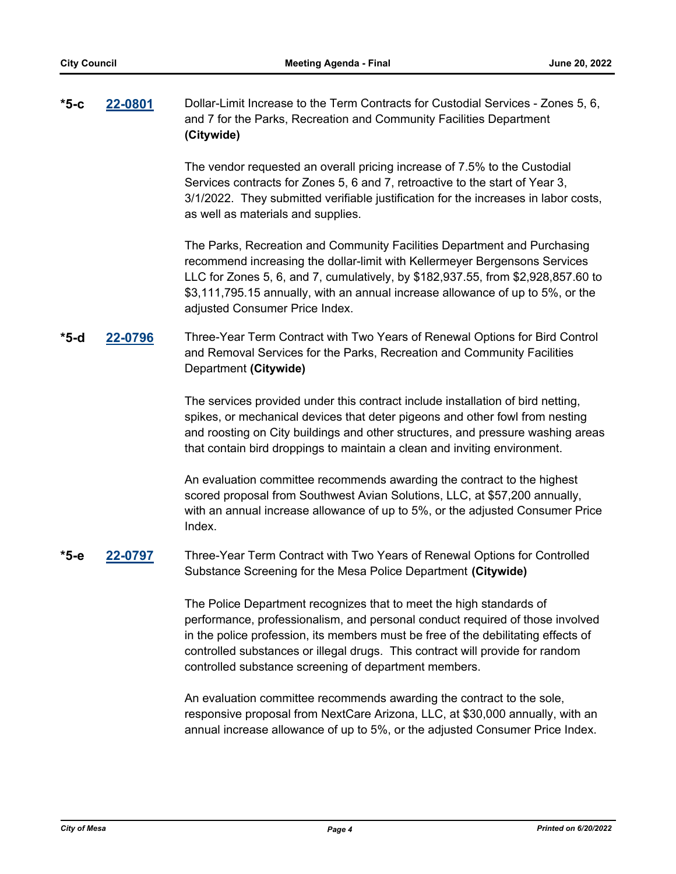### **[22-0801](http://mesa.legistar.com/gateway.aspx?m=l&id=/matter.aspx?key=18692)** Dollar-Limit Increase to the Term Contracts for Custodial Services - Zones 5, 6, and 7 for the Parks, Recreation and Community Facilities Department **(Citywide) \*5-c**

The vendor requested an overall pricing increase of 7.5% to the Custodial Services contracts for Zones 5, 6 and 7, retroactive to the start of Year 3, 3/1/2022. They submitted verifiable justification for the increases in labor costs, as well as materials and supplies.

The Parks, Recreation and Community Facilities Department and Purchasing recommend increasing the dollar-limit with Kellermeyer Bergensons Services LLC for Zones 5, 6, and 7, cumulatively, by \$182,937.55, from \$2,928,857.60 to \$3,111,795.15 annually, with an annual increase allowance of up to 5%, or the adjusted Consumer Price Index.

### **[22-0796](http://mesa.legistar.com/gateway.aspx?m=l&id=/matter.aspx?key=18687)** Three-Year Term Contract with Two Years of Renewal Options for Bird Control and Removal Services for the Parks, Recreation and Community Facilities Department **(Citywide) \*5-d**

The services provided under this contract include installation of bird netting, spikes, or mechanical devices that deter pigeons and other fowl from nesting and roosting on City buildings and other structures, and pressure washing areas that contain bird droppings to maintain a clean and inviting environment.

An evaluation committee recommends awarding the contract to the highest scored proposal from Southwest Avian Solutions, LLC, at \$57,200 annually, with an annual increase allowance of up to 5%, or the adjusted Consumer Price Index.

#### **[22-0797](http://mesa.legistar.com/gateway.aspx?m=l&id=/matter.aspx?key=18688)** Three-Year Term Contract with Two Years of Renewal Options for Controlled Substance Screening for the Mesa Police Department **(Citywide) \*5-e**

The Police Department recognizes that to meet the high standards of performance, professionalism, and personal conduct required of those involved in the police profession, its members must be free of the debilitating effects of controlled substances or illegal drugs. This contract will provide for random controlled substance screening of department members.

An evaluation committee recommends awarding the contract to the sole, responsive proposal from NextCare Arizona, LLC, at \$30,000 annually, with an annual increase allowance of up to 5%, or the adjusted Consumer Price Index.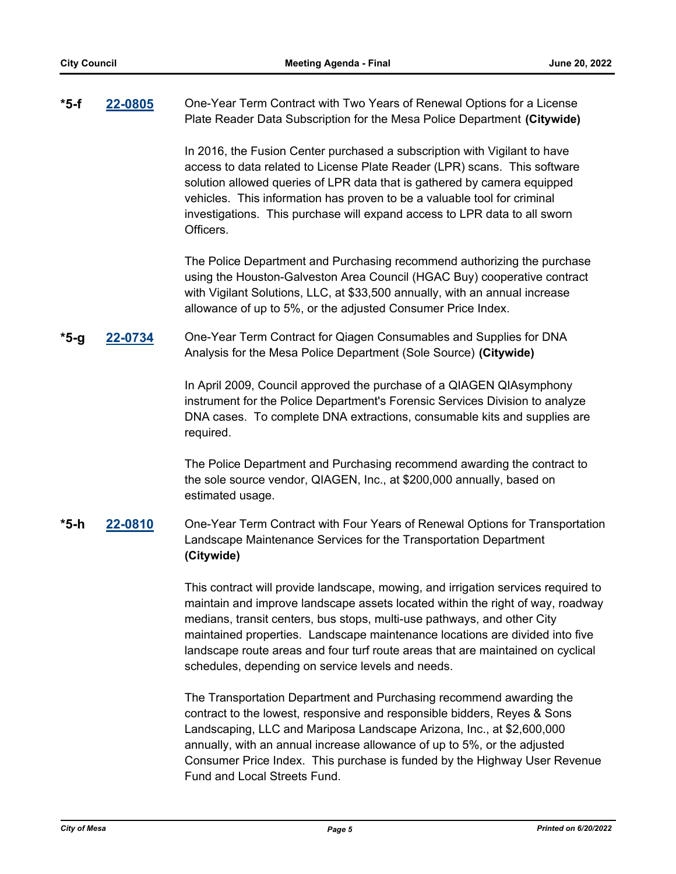#### **[22-0805](http://mesa.legistar.com/gateway.aspx?m=l&id=/matter.aspx?key=18696)** One-Year Term Contract with Two Years of Renewal Options for a License Plate Reader Data Subscription for the Mesa Police Department **(Citywide) \*5-f**

In 2016, the Fusion Center purchased a subscription with Vigilant to have access to data related to License Plate Reader (LPR) scans. This software solution allowed queries of LPR data that is gathered by camera equipped vehicles. This information has proven to be a valuable tool for criminal investigations. This purchase will expand access to LPR data to all sworn Officers.

The Police Department and Purchasing recommend authorizing the purchase using the Houston-Galveston Area Council (HGAC Buy) cooperative contract with Vigilant Solutions, LLC, at \$33,500 annually, with an annual increase allowance of up to 5%, or the adjusted Consumer Price Index.

#### **[22-0734](http://mesa.legistar.com/gateway.aspx?m=l&id=/matter.aspx?key=18625)** One-Year Term Contract for Qiagen Consumables and Supplies for DNA Analysis for the Mesa Police Department (Sole Source) **(Citywide) \*5-g**

In April 2009, Council approved the purchase of a QIAGEN QIAsymphony instrument for the Police Department's Forensic Services Division to analyze DNA cases. To complete DNA extractions, consumable kits and supplies are required.

The Police Department and Purchasing recommend awarding the contract to the sole source vendor, QIAGEN, Inc., at \$200,000 annually, based on estimated usage.

### **[22-0810](http://mesa.legistar.com/gateway.aspx?m=l&id=/matter.aspx?key=18701)** One-Year Term Contract with Four Years of Renewal Options for Transportation Landscape Maintenance Services for the Transportation Department **(Citywide) \*5-h**

This contract will provide landscape, mowing, and irrigation services required to maintain and improve landscape assets located within the right of way, roadway medians, transit centers, bus stops, multi-use pathways, and other City maintained properties. Landscape maintenance locations are divided into five landscape route areas and four turf route areas that are maintained on cyclical schedules, depending on service levels and needs.

The Transportation Department and Purchasing recommend awarding the contract to the lowest, responsive and responsible bidders, Reyes & Sons Landscaping, LLC and Mariposa Landscape Arizona, Inc., at \$2,600,000 annually, with an annual increase allowance of up to 5%, or the adjusted Consumer Price Index. This purchase is funded by the Highway User Revenue Fund and Local Streets Fund.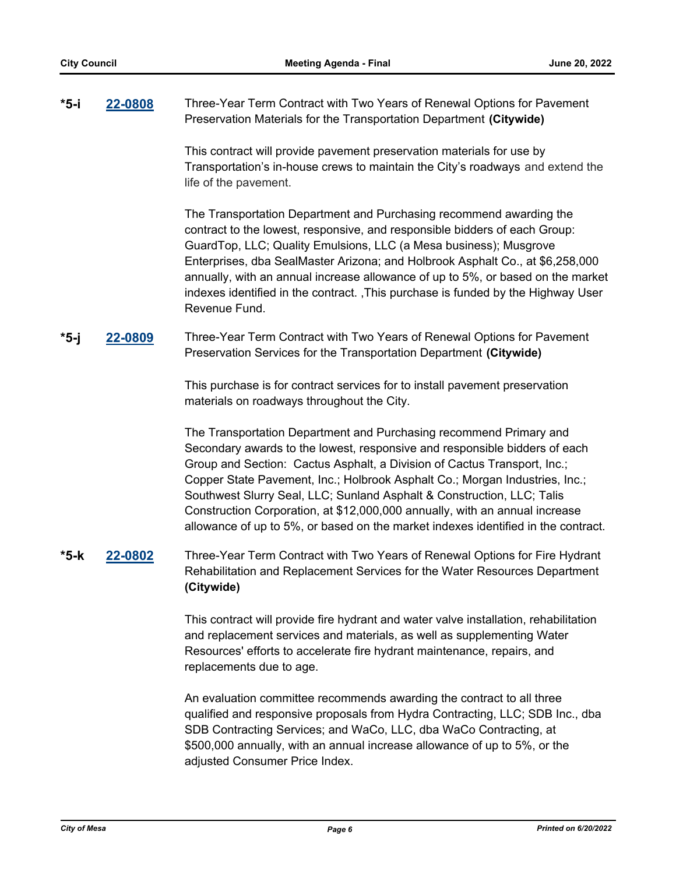#### **[22-0808](http://mesa.legistar.com/gateway.aspx?m=l&id=/matter.aspx?key=18699)** Three-Year Term Contract with Two Years of Renewal Options for Pavement Preservation Materials for the Transportation Department **(Citywide) \*5-i**

This contract will provide pavement preservation materials for use by Transportation's in-house crews to maintain the City's roadways and extend the life of the pavement.

The Transportation Department and Purchasing recommend awarding the contract to the lowest, responsive, and responsible bidders of each Group: GuardTop, LLC; Quality Emulsions, LLC (a Mesa business); Musgrove Enterprises, dba SealMaster Arizona; and Holbrook Asphalt Co., at \$6,258,000 annually, with an annual increase allowance of up to 5%, or based on the market indexes identified in the contract. ,This purchase is funded by the Highway User Revenue Fund.

#### **[22-0809](http://mesa.legistar.com/gateway.aspx?m=l&id=/matter.aspx?key=18700)** Three-Year Term Contract with Two Years of Renewal Options for Pavement Preservation Services for the Transportation Department **(Citywide) \*5-j**

This purchase is for contract services for to install pavement preservation materials on roadways throughout the City.

The Transportation Department and Purchasing recommend Primary and Secondary awards to the lowest, responsive and responsible bidders of each Group and Section: Cactus Asphalt, a Division of Cactus Transport, Inc.; Copper State Pavement, Inc.; Holbrook Asphalt Co.; Morgan Industries, Inc.; Southwest Slurry Seal, LLC; Sunland Asphalt & Construction, LLC; Talis Construction Corporation, at \$12,000,000 annually, with an annual increase allowance of up to 5%, or based on the market indexes identified in the contract.

### **[22-0802](http://mesa.legistar.com/gateway.aspx?m=l&id=/matter.aspx?key=18693)** Three-Year Term Contract with Two Years of Renewal Options for Fire Hydrant Rehabilitation and Replacement Services for the Water Resources Department **(Citywide) \*5-k**

This contract will provide fire hydrant and water valve installation, rehabilitation and replacement services and materials, as well as supplementing Water Resources' efforts to accelerate fire hydrant maintenance, repairs, and replacements due to age.

An evaluation committee recommends awarding the contract to all three qualified and responsive proposals from Hydra Contracting, LLC; SDB Inc., dba SDB Contracting Services; and WaCo, LLC, dba WaCo Contracting, at \$500,000 annually, with an annual increase allowance of up to 5%, or the adjusted Consumer Price Index.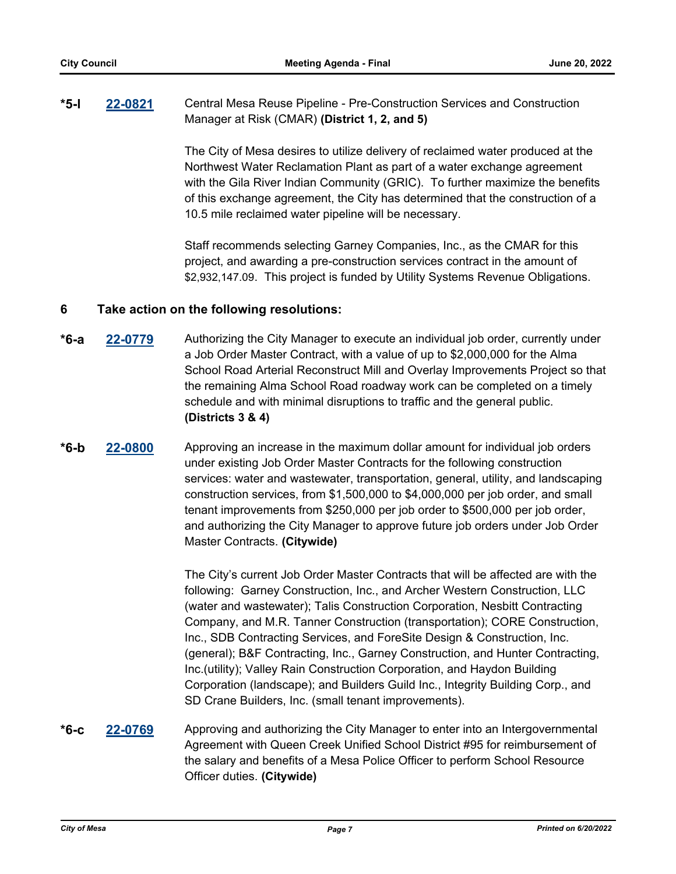#### **[22-0821](http://mesa.legistar.com/gateway.aspx?m=l&id=/matter.aspx?key=18712)** Central Mesa Reuse Pipeline - Pre-Construction Services and Construction Manager at Risk (CMAR) **(District 1, 2, and 5) \*5-l**

The City of Mesa desires to utilize delivery of reclaimed water produced at the Northwest Water Reclamation Plant as part of a water exchange agreement with the Gila River Indian Community (GRIC). To further maximize the benefits of this exchange agreement, the City has determined that the construction of a 10.5 mile reclaimed water pipeline will be necessary.

Staff recommends selecting Garney Companies, Inc., as the CMAR for this project, and awarding a pre-construction services contract in the amount of \$2,932,147.09. This project is funded by Utility Systems Revenue Obligations.

## **6 Take action on the following resolutions:**

- **[22-0779](http://mesa.legistar.com/gateway.aspx?m=l&id=/matter.aspx?key=18670)** Authorizing the City Manager to execute an individual job order, currently under a Job Order Master Contract, with a value of up to \$2,000,000 for the Alma School Road Arterial Reconstruct Mill and Overlay Improvements Project so that the remaining Alma School Road roadway work can be completed on a timely schedule and with minimal disruptions to traffic and the general public. **(Districts 3 & 4) \*6-a**
- **[22-0800](http://mesa.legistar.com/gateway.aspx?m=l&id=/matter.aspx?key=18691)** Approving an increase in the maximum dollar amount for individual job orders under existing Job Order Master Contracts for the following construction services: water and wastewater, transportation, general, utility, and landscaping construction services, from \$1,500,000 to \$4,000,000 per job order, and small tenant improvements from \$250,000 per job order to \$500,000 per job order, and authorizing the City Manager to approve future job orders under Job Order Master Contracts. **(Citywide) \*6-b**

The City's current Job Order Master Contracts that will be affected are with the following: Garney Construction, Inc., and Archer Western Construction, LLC (water and wastewater); Talis Construction Corporation, Nesbitt Contracting Company, and M.R. Tanner Construction (transportation); CORE Construction, Inc., SDB Contracting Services, and ForeSite Design & Construction, Inc. (general); B&F Contracting, Inc., Garney Construction, and Hunter Contracting, Inc.(utility); Valley Rain Construction Corporation, and Haydon Building Corporation (landscape); and Builders Guild Inc., Integrity Building Corp., and SD Crane Builders, Inc. (small tenant improvements).

**[22-0769](http://mesa.legistar.com/gateway.aspx?m=l&id=/matter.aspx?key=18660)** Approving and authorizing the City Manager to enter into an Intergovernmental Agreement with Queen Creek Unified School District #95 for reimbursement of the salary and benefits of a Mesa Police Officer to perform School Resource Officer duties. **(Citywide) \*6-c**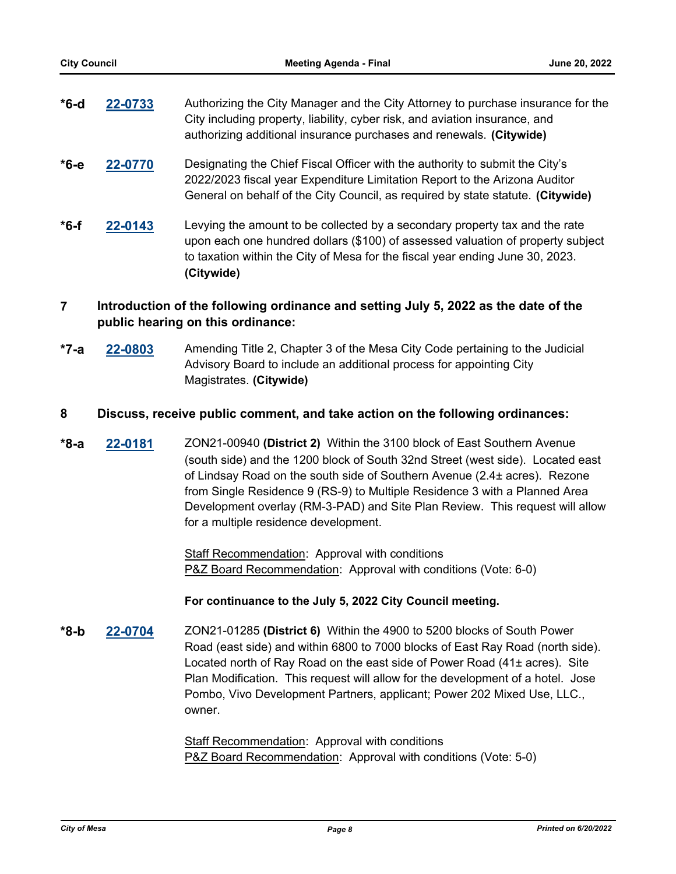| $*6-d$ | 22-0733 | Authorizing the City Manager and the City Attorney to purchase insurance for the |
|--------|---------|----------------------------------------------------------------------------------|
|        |         | City including property, liability, cyber risk, and aviation insurance, and      |
|        |         | authorizing additional insurance purchases and renewals. (Citywide)              |

- **[22-0770](http://mesa.legistar.com/gateway.aspx?m=l&id=/matter.aspx?key=18661)** Designating the Chief Fiscal Officer with the authority to submit the City's 2022/2023 fiscal year Expenditure Limitation Report to the Arizona Auditor General on behalf of the City Council, as required by state statute. **(Citywide) \*6-e**
- **[22-0143](http://mesa.legistar.com/gateway.aspx?m=l&id=/matter.aspx?key=18068)** Levying the amount to be collected by a secondary property tax and the rate upon each one hundred dollars (\$100) of assessed valuation of property subject to taxation within the City of Mesa for the fiscal year ending June 30, 2023. **(Citywide) \*6-f**

## **7 Introduction of the following ordinance and setting July 5, 2022 as the date of the public hearing on this ordinance:**

**[22-0803](http://mesa.legistar.com/gateway.aspx?m=l&id=/matter.aspx?key=18694)** Amending Title 2, Chapter 3 of the Mesa City Code pertaining to the Judicial Advisory Board to include an additional process for appointing City Magistrates. **(Citywide) \*7-a**

### **8 Discuss, receive public comment, and take action on the following ordinances:**

**[22-0181](http://mesa.legistar.com/gateway.aspx?m=l&id=/matter.aspx?key=18106)** ZON21-00940 **(District 2)** Within the 3100 block of East Southern Avenue (south side) and the 1200 block of South 32nd Street (west side). Located east of Lindsay Road on the south side of Southern Avenue (2.4± acres). Rezone from Single Residence 9 (RS-9) to Multiple Residence 3 with a Planned Area Development overlay (RM-3-PAD) and Site Plan Review. This request will allow for a multiple residence development. **\*8-a**

> Staff Recommendation: Approval with conditions P&Z Board Recommendation: Approval with conditions (Vote: 6-0)

### **For continuance to the July 5, 2022 City Council meeting.**

**[22-0704](http://mesa.legistar.com/gateway.aspx?m=l&id=/matter.aspx?key=18595)** ZON21-01285 **(District 6)** Within the 4900 to 5200 blocks of South Power Road (east side) and within 6800 to 7000 blocks of East Ray Road (north side). Located north of Ray Road on the east side of Power Road (41± acres). Site Plan Modification. This request will allow for the development of a hotel. Jose Pombo, Vivo Development Partners, applicant; Power 202 Mixed Use, LLC., owner. **\*8-b**

> Staff Recommendation: Approval with conditions P&Z Board Recommendation: Approval with conditions (Vote: 5-0)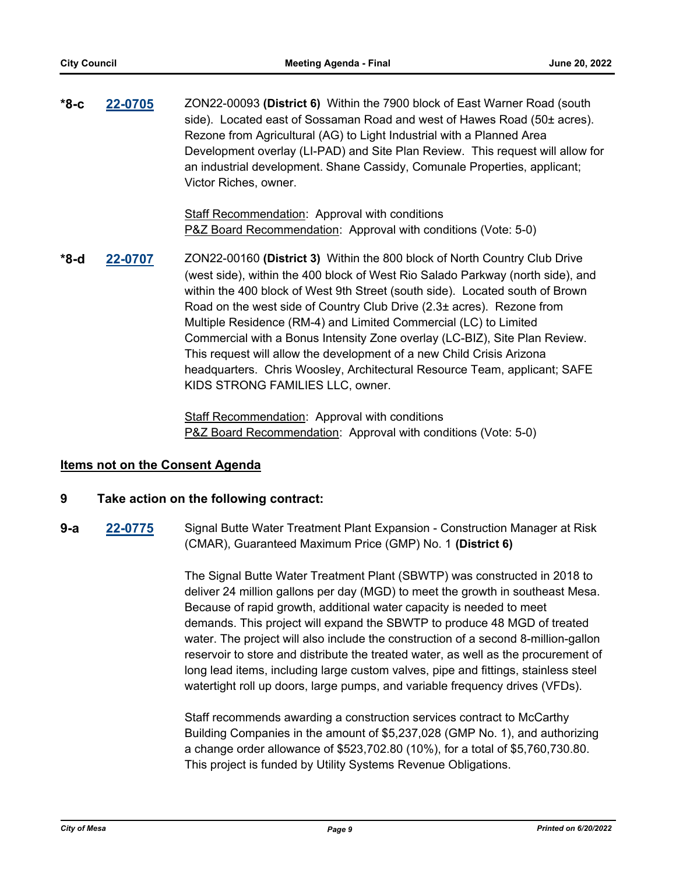**[22-0705](http://mesa.legistar.com/gateway.aspx?m=l&id=/matter.aspx?key=18596)** ZON22-00093 **(District 6)** Within the 7900 block of East Warner Road (south side). Located east of Sossaman Road and west of Hawes Road (50± acres). Rezone from Agricultural (AG) to Light Industrial with a Planned Area Development overlay (LI-PAD) and Site Plan Review. This request will allow for an industrial development. Shane Cassidy, Comunale Properties, applicant; Victor Riches, owner. **\*8-c**

> Staff Recommendation: Approval with conditions P&Z Board Recommendation: Approval with conditions (Vote: 5-0)

**[22-0707](http://mesa.legistar.com/gateway.aspx?m=l&id=/matter.aspx?key=18598)** ZON22-00160 **(District 3)** Within the 800 block of North Country Club Drive (west side), within the 400 block of West Rio Salado Parkway (north side), and within the 400 block of West 9th Street (south side). Located south of Brown Road on the west side of Country Club Drive (2.3± acres). Rezone from Multiple Residence (RM-4) and Limited Commercial (LC) to Limited Commercial with a Bonus Intensity Zone overlay (LC-BIZ), Site Plan Review. This request will allow the development of a new Child Crisis Arizona headquarters. Chris Woosley, Architectural Resource Team, applicant; SAFE KIDS STRONG FAMILIES LLC, owner. **\*8-d**

> Staff Recommendation: Approval with conditions P&Z Board Recommendation: Approval with conditions (Vote: 5-0)

### **Items not on the Consent Agenda**

### **9 Take action on the following contract:**

**[22-0775](http://mesa.legistar.com/gateway.aspx?m=l&id=/matter.aspx?key=18666)** Signal Butte Water Treatment Plant Expansion - Construction Manager at Risk (CMAR), Guaranteed Maximum Price (GMP) No. 1 **(District 6) 9-a**

> The Signal Butte Water Treatment Plant (SBWTP) was constructed in 2018 to deliver 24 million gallons per day (MGD) to meet the growth in southeast Mesa. Because of rapid growth, additional water capacity is needed to meet demands. This project will expand the SBWTP to produce 48 MGD of treated water. The project will also include the construction of a second 8-million-gallon reservoir to store and distribute the treated water, as well as the procurement of long lead items, including large custom valves, pipe and fittings, stainless steel watertight roll up doors, large pumps, and variable frequency drives (VFDs).

> Staff recommends awarding a construction services contract to McCarthy Building Companies in the amount of \$5,237,028 (GMP No. 1), and authorizing a change order allowance of \$523,702.80 (10%), for a total of \$5,760,730.80. This project is funded by Utility Systems Revenue Obligations.